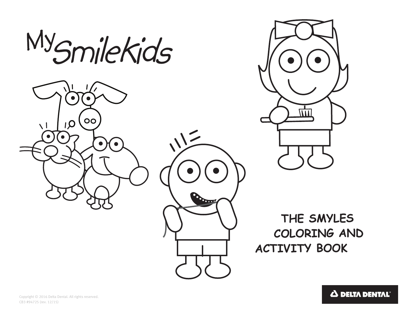





 **THE SMYLES COLORING AND ACTIVITY BOOK**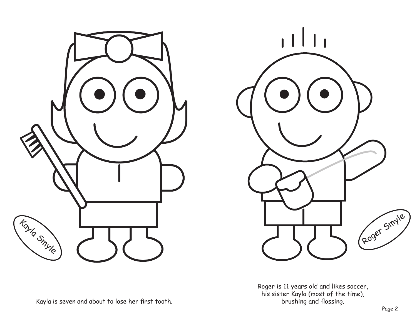



Roger is 11 years old and likes soccer, his sister Kayla (most of the time), brushing and flossing.

Kayla is seven and about to lose her first tooth.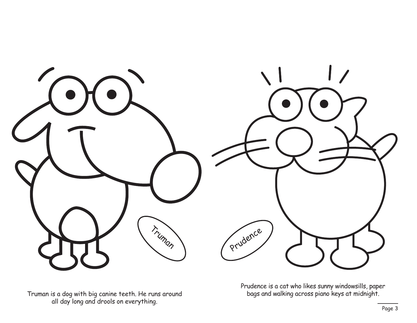

Truman is a dog with big canine teeth. He runs around bags and walking across piano keys at midnight. all day long and drools on everything.

Prudence is a cat who likes sunny windowsills, paper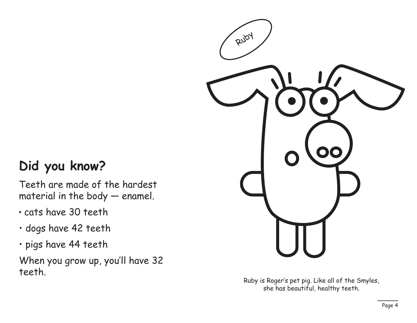### **Did you know?**

Teeth are made of the hardest material in the body — enamel.

- cats have 30 teeth
- dogs have 42 teeth
- pigs have 44 teeth

When you grow up, you'll have 32 teeth.



Ruby is Roger's pet pig. Like all of the Smyles, she has beautiful, healthy teeth.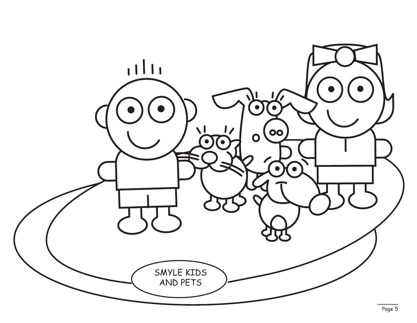![](_page_4_Picture_0.jpeg)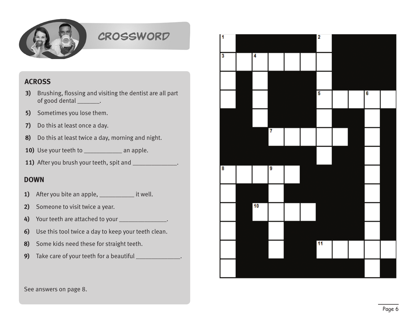![](_page_5_Picture_0.jpeg)

### CROSSWORD

#### **ACROSS**

- **3)** Brushing, flossing and visiting the dentist are all part of good dental \_\_\_\_\_\_\_.
- **5)** Sometimes you lose them.
- **7)** Do this at least once a day.
- **8)** Do this at least twice a day, morning and night.
- 10) Use your teeth to \_\_\_\_\_\_\_\_\_\_\_\_\_ an apple.
- **11)** After you brush your teeth, spit and \_\_\_\_\_\_\_\_\_\_\_\_\_\_.

#### **DOWN**

- **1)** After you bite an apple, \_\_\_\_\_\_\_\_\_\_\_\_\_\_ it well.
- **2)** Someone to visit twice a year.
- **4)** Your teeth are attached to your \_\_\_\_\_\_\_\_\_\_\_\_\_\_\_.
- **6)** Use this tool twice a day to keep your teeth clean.
- **8)** Some kids need these for straight teeth.
- **9)** Take care of your teeth for a beautiful \_\_\_\_\_\_\_\_\_\_\_\_\_\_.

![](_page_5_Figure_16.jpeg)

See answers on page 8.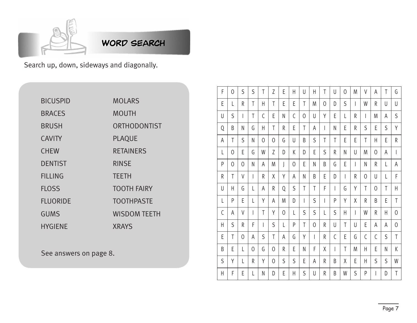![](_page_6_Picture_0.jpeg)

**WORD SEARCH** 

Search up, down, sideways and diagonally.

| <b>BICUSPID</b> | <b>MOLARS</b>       |
|-----------------|---------------------|
| <b>BRACES</b>   | <b>MOUTH</b>        |
| <b>BRUSH</b>    | ORTHODONTIST        |
| <b>CAVITY</b>   | <b>PLAQUE</b>       |
| <b>CHEW</b>     | <b>RETAINERS</b>    |
| <b>DENTIST</b>  | <b>RINSE</b>        |
| <b>FILLING</b>  | <b>TEETH</b>        |
| <b>FLOSS</b>    | <b>TOOTH FAIRY</b>  |
| <b>FLUORIDE</b> | <b>TOOTHPASTE</b>   |
| <b>GUMS</b>     | <b>WISDOM TEETH</b> |
| <b>HYGIENE</b>  | <b>XRAYS</b>        |

See answers on page 8.

| F                        | $\overline{0}$ | S                        | S                        | T | Z              | E | Η              | U                        | Η | T              | U | $\overline{0}$           | M                        | V                        | A | T | G                        |
|--------------------------|----------------|--------------------------|--------------------------|---|----------------|---|----------------|--------------------------|---|----------------|---|--------------------------|--------------------------|--------------------------|---|---|--------------------------|
| E                        | L              | R                        | T                        | H | T              | E | E              | T                        | M | $\overline{0}$ | D | S                        | $\overline{\phantom{a}}$ | W                        | R | U | U                        |
| U                        | S              | $\overline{\phantom{a}}$ | T                        | C | E              | N | C              | $\overline{0}$           | U | Υ              | E | L                        | R                        | $\overline{\phantom{a}}$ | M | Α | S                        |
| Q                        | B              | N                        | G                        | Η | T              | R | E              | T                        | А | I              | N | E                        | R                        | S                        | E | S | Υ                        |
| A                        | T              | S                        | N                        | 0 | $\overline{0}$ | G | U              | B                        | S | T              | T | E                        | E                        | T                        | H | E | R                        |
| $\overline{\mathsf{L}}%$ | 0              | E                        | G                        | W | Z              | D | K              | D                        | E | S              | R | N                        | U                        | M                        | 0 | Α | $\overline{\phantom{a}}$ |
| P                        | 0              | 0                        | N                        | Α | M              | J | $\overline{0}$ | E                        | Ν | B              | G | E                        | $\overline{\phantom{a}}$ | N                        | R | L | Α                        |
| R                        | T              | V                        | $\overline{\phantom{a}}$ | R | Χ              | Υ | A              | N                        | B | E              | D | $\overline{\phantom{a}}$ | R                        | 0                        | U | L | F                        |
| U                        | H              | G                        | L                        | Α | R              | Q | S              | T                        | T | F              | I | G                        | Y                        | T                        | 0 | T | Η                        |
| L                        | P              | E                        | L                        | Υ | A              | M | D              | $\overline{\phantom{a}}$ | S | I              | P | Y                        | χ                        | R                        | B | E | T                        |
| C                        | Α              | V                        | $\overline{\phantom{a}}$ | T | Υ              | 0 | L              | S                        | S | L              | S | Η                        | $\overline{\phantom{a}}$ | W                        | R | H | 0                        |
| $\overline{\mathsf{H}}$  | S              | R                        | F                        | I | S              | L | P              | T                        | 0 | R              | U | T                        | U                        | E                        | А | Α | 0                        |
| E                        | T              | 0                        | Α                        | S | T              | Α | G              | Y                        | I | R              | C | E                        | G                        | C                        | C | S | T                        |
| B                        | E              | L                        | 0                        | G | 0              | R | E              | N                        | F | χ              | I | T                        | M                        | Η                        | E | N | К                        |
| S                        | Υ              | L                        | R                        | Υ | 0              | S | S              | E                        | A | R              | B | X                        | E                        | Η                        | S | S | W                        |
| Η                        | F              | E                        | L                        | N | D              | E | Η              | S                        | U | R              | B | W                        | S                        | P                        | I | D | T                        |